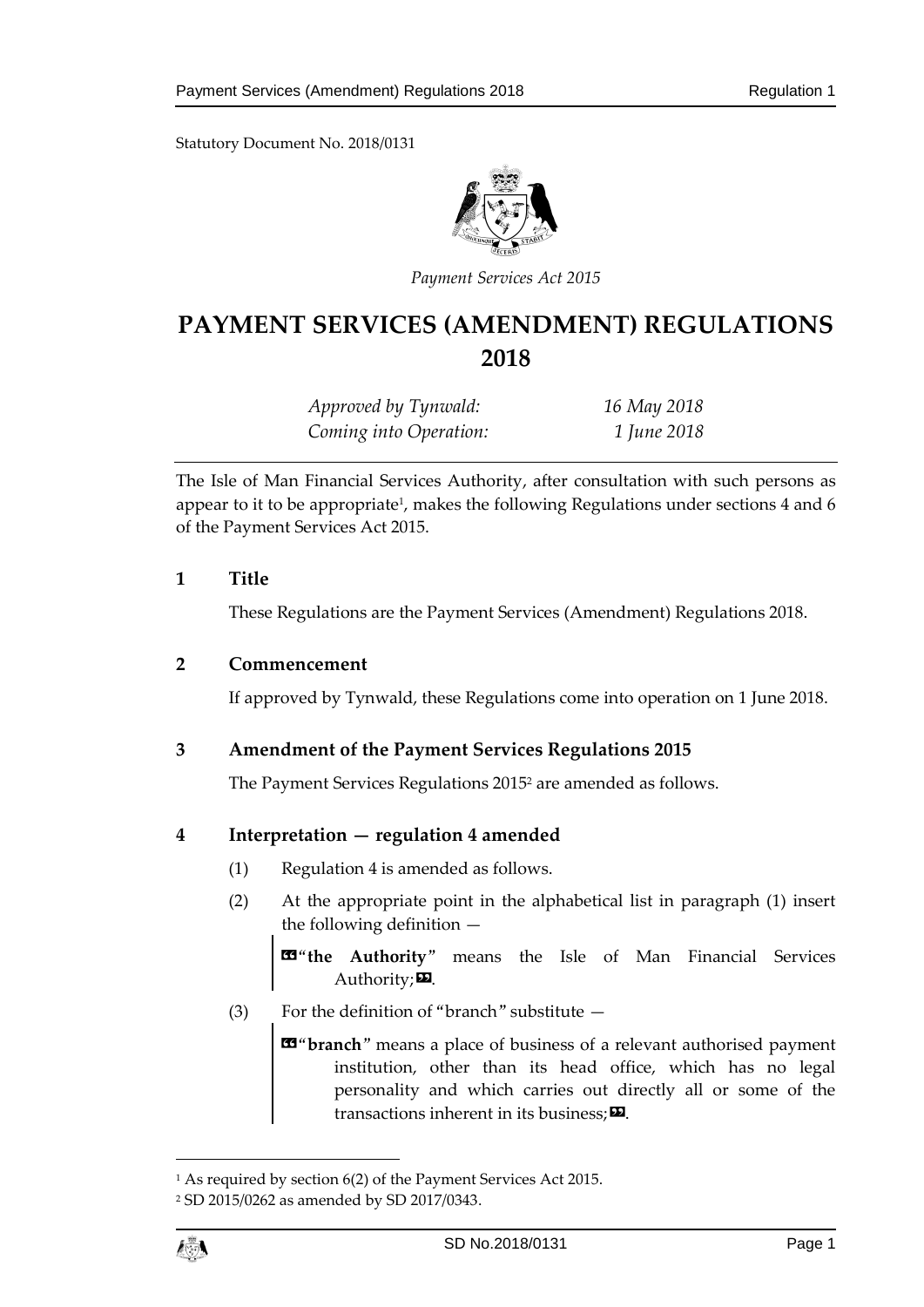Statutory Document No. 2018/0131



*Payment Services Act 2015*

# **PAYMENT SERVICES (AMENDMENT) REGULATIONS 2018**

| Approved by Tynwald:   | 16 May 2018 |
|------------------------|-------------|
| Coming into Operation: | 1 June 2018 |

The Isle of Man Financial Services Authority, after consultation with such persons as appear to it to be appropriate<sup>1</sup>, makes the following Regulations under sections 4 and 6 of the Payment Services Act 2015.

#### **1 Title**

These Regulations are the Payment Services (Amendment) Regulations 2018.

#### **2 Commencement**

If approved by Tynwald, these Regulations come into operation on 1 June 2018.

# **3 Amendment of the Payment Services Regulations 2015**

The Payment Services Regulations 2015<sup>2</sup> are amended as follows.

# **4 Interpretation — regulation 4 amended**

- (1) Regulation 4 is amended as follows.
- (2) At the appropriate point in the alphabetical list in paragraph (1) insert the following definition —

 $\mathbb{Z}^4$  **the Authority**" means the Isle of Man Financial Services Authority; $\mathbf{E}$ .

(3) For the definition of "branch" substitute —

«"**branch**" means a place of business of a relevant authorised payment institution, other than its head office, which has no legal personality and which carries out directly all or some of the transactions inherent in its business;  $\boldsymbol{\Sigma}$ .

 $\overline{a}$ 

<sup>1</sup> As required by section 6(2) of the Payment Services Act 2015.

<sup>2</sup> SD 2015/0262 as amended by SD 2017/0343.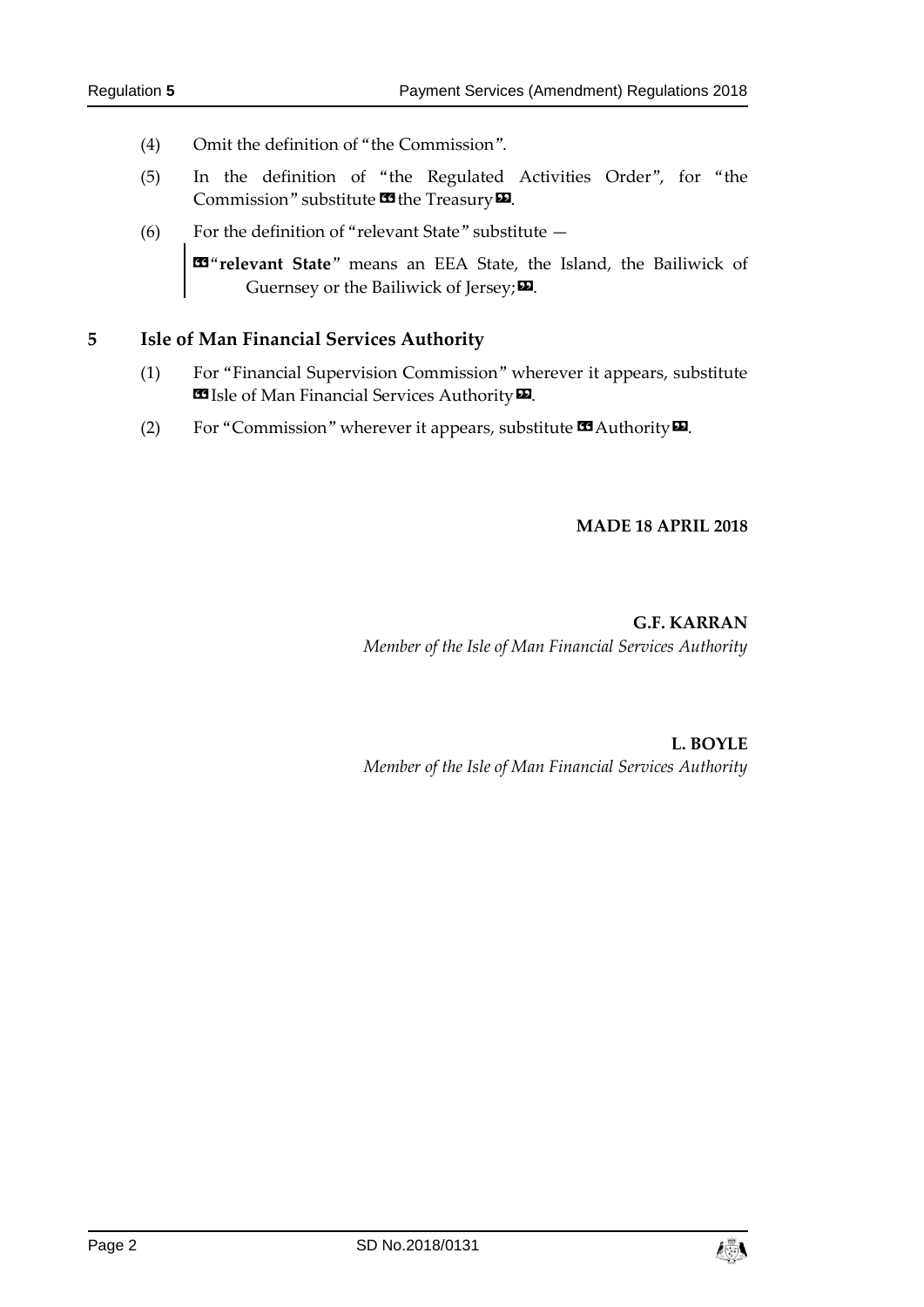- (4) Omit the definition of "the Commission".
- (5) In the definition of "the Regulated Activities Order", for "the Commission" substitute  $\mathbf{\Omega}$  the Treasury  $\mathbf{\Omega}$ .
- (6) For the definition of "relevant State" substitute —

«"**relevant State**" means an EEA State, the Island, the Bailiwick of Guernsey or the Bailiwick of Jersey; $\boldsymbol{\mathsf{\Xi}}$ .

#### **5 Isle of Man Financial Services Authority**

- (1) For "Financial Supervision Commission" wherever it appears, substitute **ES** Isle of Man Financial Services Authority **D**.
- (2) For "Commission" wherever it appears, substitute  $\blacksquare$  Authority  $\blacksquare$ .

#### **MADE 18 APRIL 2018**

# **G.F. KARRAN** *Member of the Isle of Man Financial Services Authority*

**L. BOYLE** *Member of the Isle of Man Financial Services Authority*